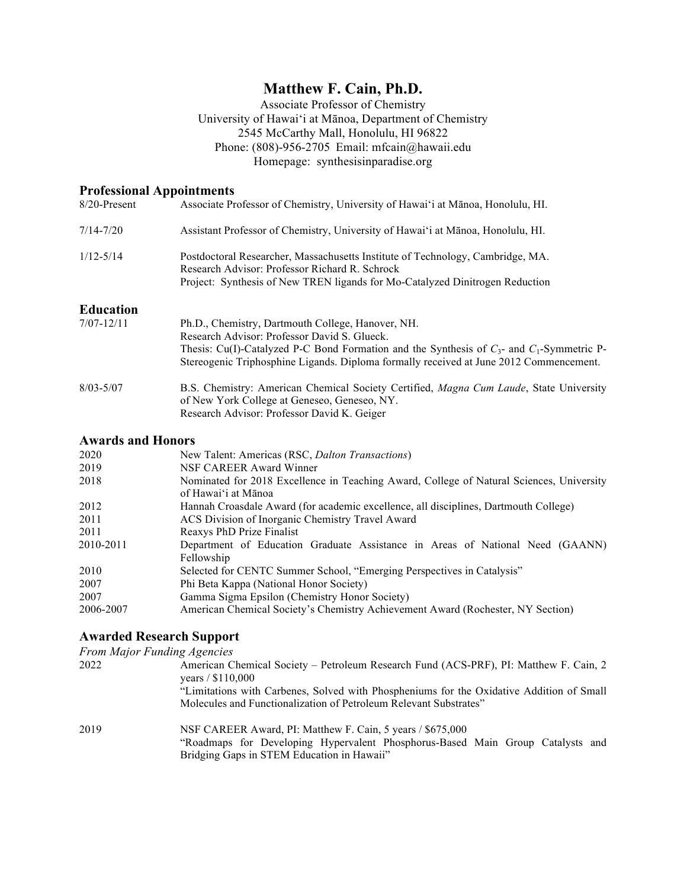# **Matthew F. Cain, Ph.D.**

Associate Professor of Chemistry University of Hawai'i at Mānoa, Department of Chemistry 2545 McCarthy Mall, Honolulu, HI 96822 Phone: (808)-956-2705 Email: mfcain@hawaii.edu Homepage: synthesisinparadise.org

## **Professional Appointments**

| 8/20-Present     | Associate Professor of Chemistry, University of Hawai'i at Mānoa, Honolulu, HI.                                                  |
|------------------|----------------------------------------------------------------------------------------------------------------------------------|
| $7/14 - 7/20$    | Assistant Professor of Chemistry, University of Hawai'i at Mānoa, Honolulu, HI.                                                  |
| $1/12 - 5/14$    | Postdoctoral Researcher, Massachusetts Institute of Technology, Cambridge, MA.<br>Research Advisor: Professor Richard R. Schrock |
|                  | Project: Synthesis of New TREN ligands for Mo-Catalyzed Dinitrogen Reduction                                                     |
| <b>Education</b> |                                                                                                                                  |
| $7/07 - 12/11$   | Ph.D., Chemistry, Dartmouth College, Hanover, NH.                                                                                |
|                  | Research Advisor: Professor David S. Glueck.                                                                                     |
|                  | Thesis: Cu(I)-Catalyzed P-C Bond Formation and the Synthesis of $C_3$ - and $C_1$ -Symmetric P-                                  |
|                  | Stereogenic Triphosphine Ligands. Diploma formally received at June 2012 Commencement.                                           |
| $8/03 - 5/07$    | B.S. Chemistry: American Chemical Society Certified, Magna Cum Laude, State University                                           |
|                  | of New York College at Geneseo, Geneseo, NY.                                                                                     |
|                  | Research Advisor: Professor David K. Geiger                                                                                      |

## **Awards and Honors**

| 2020      | New Talent: Americas (RSC, Dalton Transactions)                                                                 |
|-----------|-----------------------------------------------------------------------------------------------------------------|
| 2019      | NSF CAREER Award Winner                                                                                         |
| 2018      | Nominated for 2018 Excellence in Teaching Award, College of Natural Sciences, University<br>of Hawai'i at Mānoa |
| 2012      | Hannah Croasdale Award (for academic excellence, all disciplines, Dartmouth College)                            |
| 2011      | ACS Division of Inorganic Chemistry Travel Award                                                                |
| 2011      | Reaxys PhD Prize Finalist                                                                                       |
| 2010-2011 | Department of Education Graduate Assistance in Areas of National Need (GAANN)<br>Fellowship                     |
|           |                                                                                                                 |
| 2010      | Selected for CENTC Summer School, "Emerging Perspectives in Catalysis"                                          |
| 2007      | Phi Beta Kappa (National Honor Society)                                                                         |
| 2007      | Gamma Sigma Epsilon (Chemistry Honor Society)                                                                   |
| 2006-2007 | American Chemical Society's Chemistry Achievement Award (Rochester, NY Section)                                 |
|           |                                                                                                                 |

# **Awarded Research Support**

*From Major Funding Agencies*  2022 American Chemical Society – Petroleum Research Fund (ACS-PRF), PI: Matthew F. Cain, 2 years / \$110,000 "Limitations with Carbenes, Solved with Phospheniums for the Oxidative Addition of Small Molecules and Functionalization of Petroleum Relevant Substrates" 2019 NSF CAREER Award, PI: Matthew F. Cain, 5 years / \$675,000 "Roadmaps for Developing Hypervalent Phosphorus-Based Main Group Catalysts and Bridging Gaps in STEM Education in Hawaii"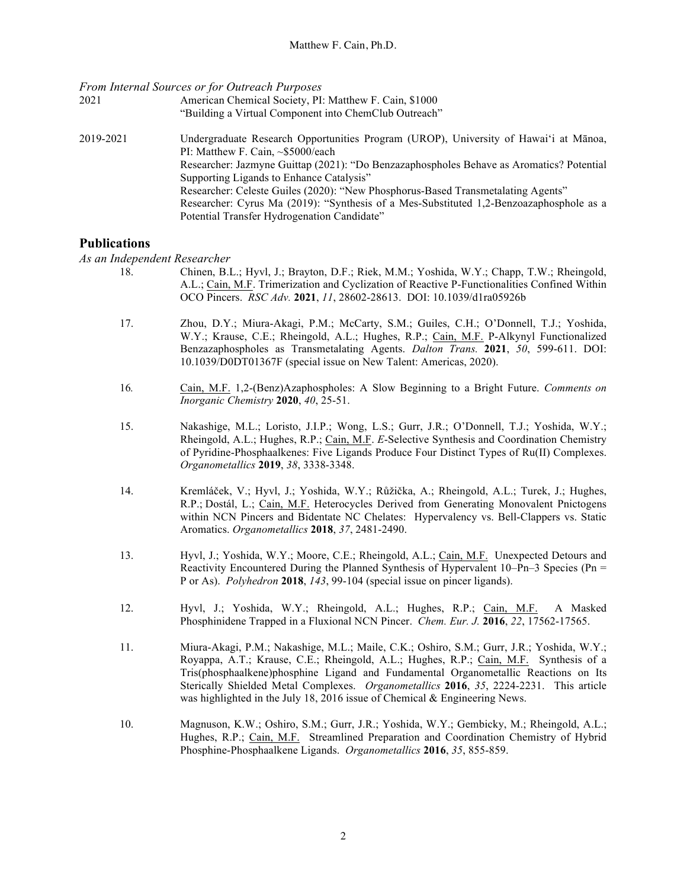*From Internal Sources or for Outreach Purposes*

- 2021 American Chemical Society, PI: Matthew F. Cain, \$1000 "Building a Virtual Component into ChemClub Outreach"
- 2019-2021 Undergraduate Research Opportunities Program (UROP), University of Hawai'i at Mānoa, PI: Matthew F. Cain, ~\$5000/each Researcher: Jazmyne Guittap (2021): "Do Benzazaphospholes Behave as Aromatics? Potential Supporting Ligands to Enhance Catalysis" Researcher: Celeste Guiles (2020): "New Phosphorus-Based Transmetalating Agents" Researcher: Cyrus Ma (2019): "Synthesis of a Mes-Substituted 1,2-Benzoazaphosphole as a Potential Transfer Hydrogenation Candidate"

## **Publications**

*As an Independent Researcher*

- 18. Chinen, B.L.; Hyvl, J.; Brayton, D.F.; Riek, M.M.; Yoshida, W.Y.; Chapp, T.W.; Rheingold, A.L.; Cain, M.F. Trimerization and Cyclization of Reactive P-Functionalities Confined Within OCO Pincers. *RSC Adv.* **2021**, *11*, 28602-28613. DOI: 10.1039/d1ra05926b
- 17. Zhou, D.Y.; Miura-Akagi, P.M.; McCarty, S.M.; Guiles, C.H.; O'Donnell, T.J.; Yoshida, W.Y.; Krause, C.E.; Rheingold, A.L.; Hughes, R.P.; Cain, M.F. P-Alkynyl Functionalized Benzazaphospholes as Transmetalating Agents. *Dalton Trans.* **2021**, *50*, 599-611. DOI: 10.1039/D0DT01367F (special issue on New Talent: Americas, 2020).
- 16*.* Cain, M.F. 1,2-(Benz)Azaphospholes: A Slow Beginning to a Bright Future. *Comments on Inorganic Chemistry* **2020**, *40*, 25-51.
- 15. Nakashige, M.L.; Loristo, J.I.P.; Wong, L.S.; Gurr, J.R.; O'Donnell, T.J.; Yoshida, W.Y.; Rheingold, A.L.; Hughes, R.P.; Cain, M.F. *E*-Selective Synthesis and Coordination Chemistry of Pyridine-Phosphaalkenes: Five Ligands Produce Four Distinct Types of Ru(II) Complexes. *Organometallics* **2019**, *38*, 3338-3348.
- 14. Kremláček, V.; Hyvl, J.; Yoshida, W.Y.; Růžička, A.; Rheingold, A.L.; Turek, J.; Hughes, R.P.; Dostál, L.; Cain, M.F. Heterocycles Derived from Generating Monovalent Pnictogens within NCN Pincers and Bidentate NC Chelates: Hypervalency vs. Bell-Clappers vs. Static Aromatics. *Organometallics* **2018**, *37*, 2481-2490.
- 13. Hyvl, J.; Yoshida, W.Y.; Moore, C.E.; Rheingold, A.L.; Cain, M.F. Unexpected Detours and Reactivity Encountered During the Planned Synthesis of Hypervalent  $10-Pn-3$  Species (Pn = P or As). *Polyhedron* **2018**, *143*, 99-104 (special issue on pincer ligands).
- 12. Hyvl, J.; Yoshida, W.Y.; Rheingold, A.L.; Hughes, R.P.; Cain, M.F. A Masked Phosphinidene Trapped in a Fluxional NCN Pincer. *Chem. Eur. J.* **2016**, *22*, 17562-17565.
- 11. Miura-Akagi, P.M.; Nakashige, M.L.; Maile, C.K.; Oshiro, S.M.; Gurr, J.R.; Yoshida, W.Y.; Royappa, A.T.; Krause, C.E.; Rheingold, A.L.; Hughes, R.P.; Cain, M.F. Synthesis of a Tris(phosphaalkene)phosphine Ligand and Fundamental Organometallic Reactions on Its Sterically Shielded Metal Complexes. *Organometallics* **2016**, *35*, 2224-2231. This article was highlighted in the July 18, 2016 issue of Chemical & Engineering News.
- 10. Magnuson, K.W.; Oshiro, S.M.; Gurr, J.R.; Yoshida, W.Y.; Gembicky, M.; Rheingold, A.L.; Hughes, R.P.; Cain, M.F. Streamlined Preparation and Coordination Chemistry of Hybrid Phosphine-Phosphaalkene Ligands. *Organometallics* **2016**, *35*, 855-859.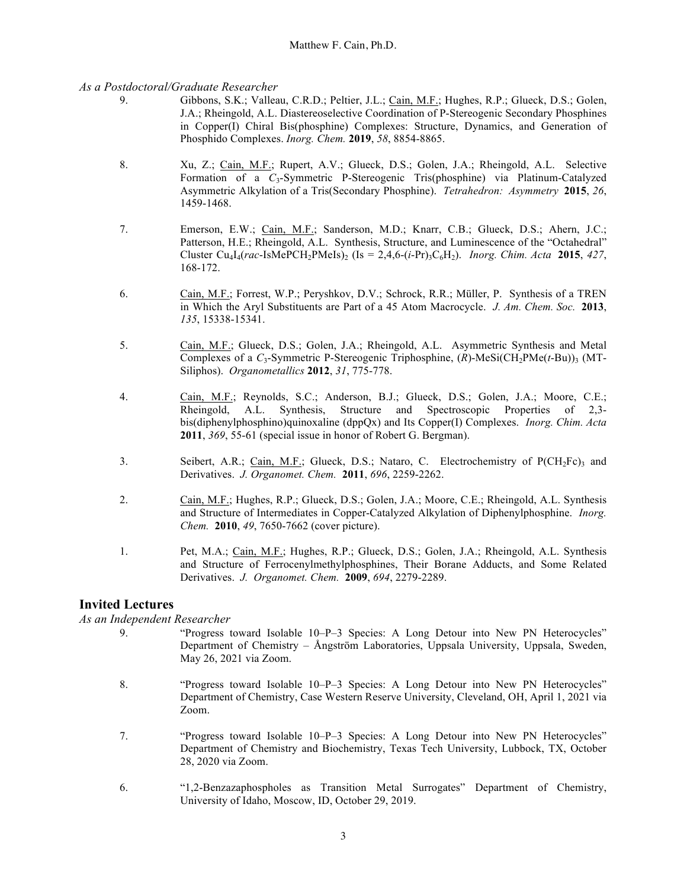#### *As a Postdoctoral/Graduate Researcher*

- 9. Gibbons, S.K.; Valleau, C.R.D.; Peltier, J.L.; Cain, M.F.; Hughes, R.P.; Glueck, D.S.; Golen, J.A.; Rheingold, A.L. Diastereoselective Coordination of P-Stereogenic Secondary Phosphines in Copper(I) Chiral Bis(phosphine) Complexes: Structure, Dynamics, and Generation of Phosphido Complexes. *Inorg. Chem.* **2019**, *58*, 8854-8865.
- 8. Xu, Z.; Cain, M.F.; Rupert, A.V.; Glueck, D.S.; Golen, J.A.; Rheingold, A.L. Selective Formation of a *C*3-Symmetric P-Stereogenic Tris(phosphine) via Platinum-Catalyzed Asymmetric Alkylation of a Tris(Secondary Phosphine). *Tetrahedron: Asymmetry* **2015**, *26*, 1459-1468.
- 7. Emerson, E.W.; Cain, M.F.; Sanderson, M.D.; Knarr, C.B.; Glueck, D.S.; Ahern, J.C.; Patterson, H.E.; Rheingold, A.L. Synthesis, Structure, and Luminescence of the "Octahedral" Cluster Cu<sub>4</sub>I<sub>4</sub>(*rac*-IsMePCH<sub>2</sub>PMeIs)<sub>2</sub> (Is = 2,4,6-(*i*-Pr)<sub>3</sub>C<sub>6</sub>H<sub>2</sub>). *Inorg. Chim. Acta* **2015**, 427, 168-172.
- 6. Cain, M.F.; Forrest, W.P.; Peryshkov, D.V.; Schrock, R.R.; Müller, P. Synthesis of a TREN in Which the Aryl Substituents are Part of a 45 Atom Macrocycle. *J. Am. Chem. Soc.* **2013**, *135*, 15338-15341.
- 5. Cain, M.F.; Glueck, D.S.; Golen, J.A.; Rheingold, A.L. Asymmetric Synthesis and Metal Complexes of a  $C_3$ -Symmetric P-Stereogenic Triphosphine,  $(R)$ -MeSi(CH<sub>2</sub>PMe(*t*-Bu))<sub>3</sub> (MT-Siliphos). *Organometallics* **2012**, *31*, 775-778.
- 4. Cain, M.F.; Reynolds, S.C.; Anderson, B.J.; Glueck, D.S.; Golen, J.A.; Moore, C.E.; Rheingold, A.L. Synthesis, Structure and Spectroscopic Properties of 2,3 bis(diphenylphosphino)quinoxaline (dppQx) and Its Copper(I) Complexes. *Inorg. Chim. Acta* **2011**, *369*, 55-61 (special issue in honor of Robert G. Bergman).
- 3. Seibert, A.R.; Cain, M.F.; Glueck, D.S.; Nataro, C. Electrochemistry of P(CH<sub>2</sub>Fc)<sub>3</sub> and Derivatives. *J. Organomet. Chem.* **2011**, *696*, 2259-2262.
- 2. Cain, M.F.; Hughes, R.P.; Glueck, D.S.; Golen, J.A.; Moore, C.E.; Rheingold, A.L. Synthesis and Structure of Intermediates in Copper-Catalyzed Alkylation of Diphenylphosphine. *Inorg. Chem.* **2010**, *49*, 7650-7662 (cover picture).
- 1. Pet, M.A.; Cain, M.F.; Hughes, R.P.; Glueck, D.S.; Golen, J.A.; Rheingold, A.L. Synthesis and Structure of Ferrocenylmethylphosphines, Their Borane Adducts, and Some Related Derivatives. *J. Organomet. Chem.* **2009**, *694*, 2279-2289.

## **Invited Lectures**

#### *As an Independent Researcher*

- 9. "Progress toward Isolable 10–P–3 Species: A Long Detour into New PN Heterocycles" Department of Chemistry – Ångström Laboratories, Uppsala University, Uppsala, Sweden, May 26, 2021 via Zoom.
- 8. "Progress toward Isolable 10–P–3 Species: A Long Detour into New PN Heterocycles" Department of Chemistry, Case Western Reserve University, Cleveland, OH, April 1, 2021 via Zoom.
- 7. "Progress toward Isolable 10–P–3 Species: A Long Detour into New PN Heterocycles" Department of Chemistry and Biochemistry, Texas Tech University, Lubbock, TX, October 28, 2020 via Zoom.
- 6. "1,2-Benzazaphospholes as Transition Metal Surrogates" Department of Chemistry, University of Idaho, Moscow, ID, October 29, 2019.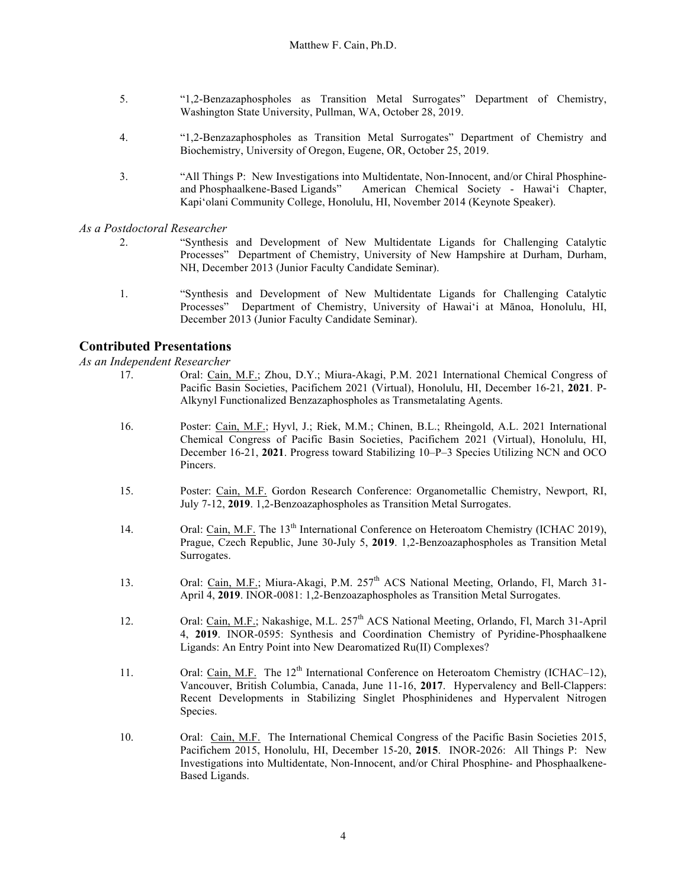- 5. "1,2-Benzazaphospholes as Transition Metal Surrogates" Department of Chemistry, Washington State University, Pullman, WA, October 28, 2019.
- 4. "1,2-Benzazaphospholes as Transition Metal Surrogates" Department of Chemistry and Biochemistry, University of Oregon, Eugene, OR, October 25, 2019.
- 3. "All Things P: New Investigations into Multidentate, Non-Innocent, and/or Chiral Phosphineand Phosphaalkene-Based Ligands" American Chemical Society - Hawai'i Chapter, Kapi'olani Community College, Honolulu, HI, November 2014 (Keynote Speaker).

#### *As a Postdoctoral Researcher*

- 2. "Synthesis and Development of New Multidentate Ligands for Challenging Catalytic Processes" Department of Chemistry, University of New Hampshire at Durham, Durham, NH, December 2013 (Junior Faculty Candidate Seminar).
- 1. "Synthesis and Development of New Multidentate Ligands for Challenging Catalytic Processes" Department of Chemistry, University of Hawai'i at Mānoa, Honolulu, HI, December 2013 (Junior Faculty Candidate Seminar).

## **Contributed Presentations**

*As an Independent Researcher*

- 17. Oral: Cain, M.F.; Zhou, D.Y.; Miura-Akagi, P.M. 2021 International Chemical Congress of Pacific Basin Societies, Pacifichem 2021 (Virtual), Honolulu, HI, December 16-21, **2021**. P-Alkynyl Functionalized Benzazaphospholes as Transmetalating Agents.
	- 16. Poster: Cain, M.F.; Hyvl, J.; Riek, M.M.; Chinen, B.L.; Rheingold, A.L. 2021 International Chemical Congress of Pacific Basin Societies, Pacifichem 2021 (Virtual), Honolulu, HI, December 16-21, **2021**. Progress toward Stabilizing 10–P–3 Species Utilizing NCN and OCO Pincers.
	- 15. Poster: Cain, M.F. Gordon Research Conference: Organometallic Chemistry, Newport, RI, July 7-12, **2019**. 1,2-Benzoazaphospholes as Transition Metal Surrogates.
	- 14. Oral: Cain, M.F. The 13<sup>th</sup> International Conference on Heteroatom Chemistry (ICHAC 2019), Prague, Czech Republic, June 30-July 5, **2019**. 1,2-Benzoazaphospholes as Transition Metal Surrogates.
	- 13. Oral: Cain, M.F.; Miura-Akagi, P.M. 257<sup>th</sup> ACS National Meeting, Orlando, Fl, March 31-April 4, **2019**. INOR-0081: 1,2-Benzoazaphospholes as Transition Metal Surrogates.
	- 12. Oral: Cain, M.F.; Nakashige, M.L. 257<sup>th</sup> ACS National Meeting, Orlando, Fl, March 31-April 4, **2019**. INOR-0595: Synthesis and Coordination Chemistry of Pyridine-Phosphaalkene Ligands: An Entry Point into New Dearomatized Ru(II) Complexes?
	- 11. Oral: Cain, M.F. The 12<sup>th</sup> International Conference on Heteroatom Chemistry (ICHAC–12), Vancouver, British Columbia, Canada, June 11-16, **2017**. Hypervalency and Bell-Clappers: Recent Developments in Stabilizing Singlet Phosphinidenes and Hypervalent Nitrogen Species.
	- 10. Oral: Cain, M.F. The International Chemical Congress of the Pacific Basin Societies 2015, Pacifichem 2015, Honolulu, HI, December 15-20, **2015**. INOR-2026: All Things P: New Investigations into Multidentate, Non-Innocent, and/or Chiral Phosphine- and Phosphaalkene-Based Ligands.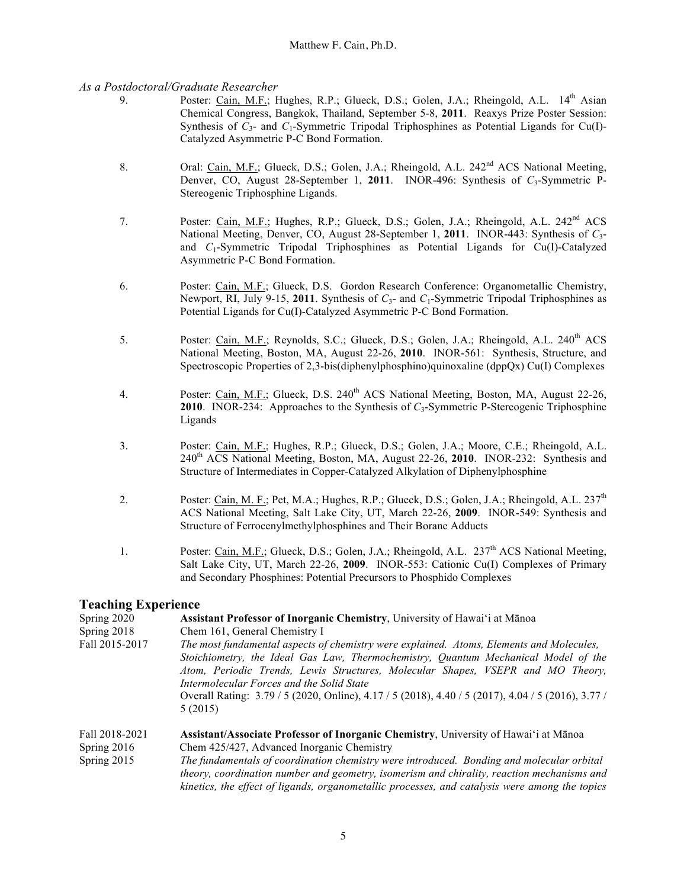#### *As a Postdoctoral/Graduate Researcher*

- 9. Poster: Cain, M.F.; Hughes, R.P.; Glueck, D.S.; Golen, J.A.; Rheingold, A.L. 14<sup>th</sup> Asian Chemical Congress, Bangkok, Thailand, September 5-8, **2011**. Reaxys Prize Poster Session: Synthesis of  $C_3$ - and  $C_1$ -Symmetric Tripodal Triphosphines as Potential Ligands for Cu(I)-Catalyzed Asymmetric P-C Bond Formation.
- 8. Oral: Cain, M.F.; Glueck, D.S.; Golen, J.A.; Rheingold, A.L. 242<sup>nd</sup> ACS National Meeting, Denver, CO, August 28-September 1, 2011. INOR-496: Synthesis of  $C_3$ -Symmetric P-Stereogenic Triphosphine Ligands.
- 7. Poster: Cain, M.F.; Hughes, R.P.; Glueck, D.S.; Golen, J.A.; Rheingold, A.L. 242<sup>nd</sup> ACS National Meeting, Denver, CO, August 28-September 1, **2011**. INOR-443: Synthesis of *C*3 and *C*1-Symmetric Tripodal Triphosphines as Potential Ligands for Cu(I)-Catalyzed Asymmetric P-C Bond Formation.
- 6. Poster: Cain, M.F.; Glueck, D.S. Gordon Research Conference: Organometallic Chemistry, Newport, RI, July 9-15, 2011. Synthesis of  $C_3$ - and  $C_1$ -Symmetric Tripodal Triphosphines as Potential Ligands for Cu(I)-Catalyzed Asymmetric P-C Bond Formation.
- 5. Poster: Cain, M.F.; Reynolds, S.C.; Glueck, D.S.; Golen, J.A.; Rheingold, A.L. 240<sup>th</sup> ACS National Meeting, Boston, MA, August 22-26, **2010**. INOR-561: Synthesis, Structure, and Spectroscopic Properties of 2,3-bis(diphenylphosphino)quinoxaline (dppQx) Cu(I) Complexes
- 4. Poster: Cain, M.F.; Glueck, D.S. 240<sup>th</sup> ACS National Meeting, Boston, MA, August 22-26, **2010**. INOR-234: Approaches to the Synthesis of *C*3-Symmetric P-Stereogenic Triphosphine Ligands
- 3. Poster: Cain, M.F.; Hughes, R.P.; Glueck, D.S.; Golen, J.A.; Moore, C.E.; Rheingold, A.L. 240th ACS National Meeting, Boston, MA, August 22-26, **2010**. INOR-232: Synthesis and Structure of Intermediates in Copper-Catalyzed Alkylation of Diphenylphosphine
- 2. Poster: Cain, M. F.; Pet, M.A.; Hughes, R.P.; Glueck, D.S.; Golen, J.A.; Rheingold, A.L. 237<sup>th</sup> ACS National Meeting, Salt Lake City, UT, March 22-26, **2009**. INOR-549: Synthesis and Structure of Ferrocenylmethylphosphines and Their Borane Adducts
- 1. Poster: Cain, M.F.; Glueck, D.S.; Golen, J.A.; Rheingold, A.L. 237<sup>th</sup> ACS National Meeting, Salt Lake City, UT, March 22-26, **2009**. INOR-553: Cationic Cu(I) Complexes of Primary and Secondary Phosphines: Potential Precursors to Phosphido Complexes

## **Teaching Experience**

| Spring 2020    | Assistant Professor of Inorganic Chemistry, University of Hawai'i at Mānoa                                                                                                                                                                                                                                                                                                                                                      |
|----------------|---------------------------------------------------------------------------------------------------------------------------------------------------------------------------------------------------------------------------------------------------------------------------------------------------------------------------------------------------------------------------------------------------------------------------------|
| Spring 2018    | Chem 161, General Chemistry I                                                                                                                                                                                                                                                                                                                                                                                                   |
| Fall 2015-2017 | The most fundamental aspects of chemistry were explained. Atoms, Elements and Molecules,<br>Stoichiometry, the Ideal Gas Law, Thermochemistry, Quantum Mechanical Model of the<br>Atom, Periodic Trends, Lewis Structures, Molecular Shapes, VSEPR and MO Theory,<br>Intermolecular Forces and the Solid State<br>Overall Rating: 3.79 / 5 (2020, Online), 4.17 / 5 (2018), 4.40 / 5 (2017), 4.04 / 5 (2016), 3.77 /<br>5(2015) |
| Fall 2018-2021 | Assistant/Associate Professor of Inorganic Chemistry, University of Hawai'i at Mānoa                                                                                                                                                                                                                                                                                                                                            |
| Spring $2016$  | Chem 425/427, Advanced Inorganic Chemistry                                                                                                                                                                                                                                                                                                                                                                                      |
| Spring 2015    | The fundamentals of coordination chemistry were introduced. Bonding and molecular orbital<br>theory, coordination number and geometry, isomerism and chirality, reaction mechanisms and<br>kinetics, the effect of ligands, organometallic processes, and catalysis were among the topics                                                                                                                                       |